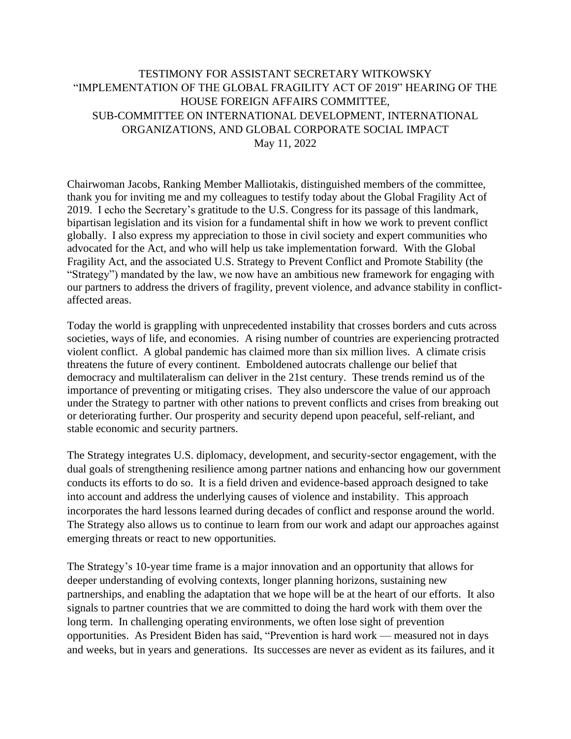## TESTIMONY FOR ASSISTANT SECRETARY WITKOWSKY "IMPLEMENTATION OF THE GLOBAL FRAGILITY ACT OF 2019" HEARING OF THE HOUSE FOREIGN AFFAIRS COMMITTEE, SUB-COMMITTEE ON INTERNATIONAL DEVELOPMENT, INTERNATIONAL ORGANIZATIONS, AND GLOBAL CORPORATE SOCIAL IMPACT May 11, 2022

Chairwoman Jacobs, Ranking Member Malliotakis, distinguished members of the committee, thank you for inviting me and my colleagues to testify today about the Global Fragility Act of 2019. I echo the Secretary's gratitude to the U.S. Congress for its passage of this landmark, bipartisan legislation and its vision for a fundamental shift in how we work to prevent conflict globally. I also express my appreciation to those in civil society and expert communities who advocated for the Act, and who will help us take implementation forward. With the Global Fragility Act, and the associated U.S. Strategy to Prevent Conflict and Promote Stability (the "Strategy") mandated by the law, we now have an ambitious new framework for engaging with our partners to address the drivers of fragility, prevent violence, and advance stability in conflictaffected areas.

Today the world is grappling with unprecedented instability that crosses borders and cuts across societies, ways of life, and economies. A rising number of countries are experiencing protracted violent conflict. A global pandemic has claimed more than six million lives. A climate crisis threatens the future of every continent. Emboldened autocrats challenge our belief that democracy and multilateralism can deliver in the 21st century. These trends remind us of the importance of preventing or mitigating crises. They also underscore the value of our approach under the Strategy to partner with other nations to prevent conflicts and crises from breaking out or deteriorating further. Our prosperity and security depend upon peaceful, self-reliant, and stable economic and security partners.

The Strategy integrates U.S. diplomacy, development, and security-sector engagement, with the dual goals of strengthening resilience among partner nations and enhancing how our government conducts its efforts to do so. It is a field driven and evidence-based approach designed to take into account and address the underlying causes of violence and instability. This approach incorporates the hard lessons learned during decades of conflict and response around the world. The Strategy also allows us to continue to learn from our work and adapt our approaches against emerging threats or react to new opportunities.

The Strategy's 10-year time frame is a major innovation and an opportunity that allows for deeper understanding of evolving contexts, longer planning horizons, sustaining new partnerships, and enabling the adaptation that we hope will be at the heart of our efforts. It also signals to partner countries that we are committed to doing the hard work with them over the long term. In challenging operating environments, we often lose sight of prevention opportunities. As President Biden has said, "Prevention is hard work — measured not in days and weeks, but in years and generations. Its successes are never as evident as its failures, and it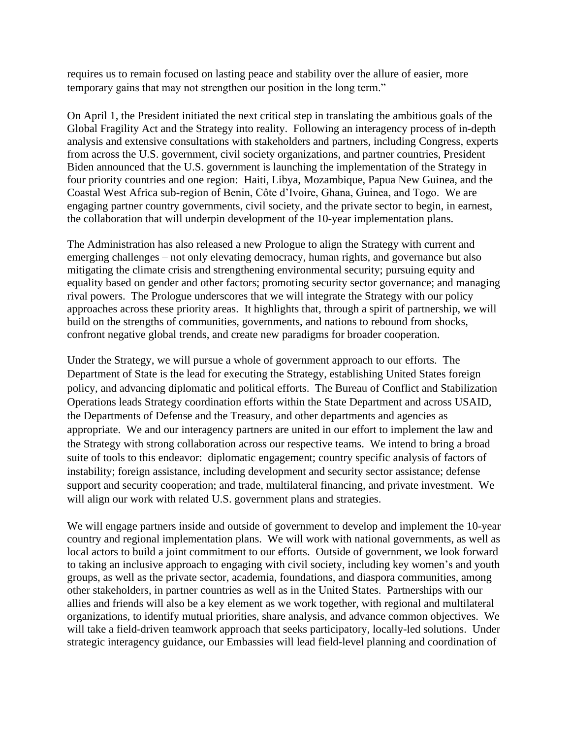requires us to remain focused on lasting peace and stability over the allure of easier, more temporary gains that may not strengthen our position in the long term."

On April 1, the President initiated the next critical step in translating the ambitious goals of the Global Fragility Act and the Strategy into reality. Following an interagency process of in-depth analysis and extensive consultations with stakeholders and partners, including Congress, experts from across the U.S. government, civil society organizations, and partner countries, President Biden announced that the U.S. government is launching the implementation of the Strategy in four priority countries and one region: Haiti, Libya, Mozambique, Papua New Guinea, and the Coastal West Africa sub-region of Benin, Côte d'Ivoire, Ghana, Guinea, and Togo. We are engaging partner country governments, civil society, and the private sector to begin, in earnest, the collaboration that will underpin development of the 10-year implementation plans.

The Administration has also released a new Prologue to align the Strategy with current and emerging challenges – not only elevating democracy, human rights, and governance but also mitigating the climate crisis and strengthening environmental security; pursuing equity and equality based on gender and other factors; promoting security sector governance; and managing rival powers. The Prologue underscores that we will integrate the Strategy with our policy approaches across these priority areas. It highlights that, through a spirit of partnership, we will build on the strengths of communities, governments, and nations to rebound from shocks, confront negative global trends, and create new paradigms for broader cooperation.

Under the Strategy, we will pursue a whole of government approach to our efforts. The Department of State is the lead for executing the Strategy, establishing United States foreign policy, and advancing diplomatic and political efforts. The Bureau of Conflict and Stabilization Operations leads Strategy coordination efforts within the State Department and across USAID, the Departments of Defense and the Treasury, and other departments and agencies as appropriate. We and our interagency partners are united in our effort to implement the law and the Strategy with strong collaboration across our respective teams. We intend to bring a broad suite of tools to this endeavor: diplomatic engagement; country specific analysis of factors of instability; foreign assistance, including development and security sector assistance; defense support and security cooperation; and trade, multilateral financing, and private investment. We will align our work with related U.S. government plans and strategies.

We will engage partners inside and outside of government to develop and implement the 10-year country and regional implementation plans. We will work with national governments, as well as local actors to build a joint commitment to our efforts. Outside of government, we look forward to taking an inclusive approach to engaging with civil society, including key women's and youth groups, as well as the private sector, academia, foundations, and diaspora communities, among other stakeholders, in partner countries as well as in the United States. Partnerships with our allies and friends will also be a key element as we work together, with regional and multilateral organizations, to identify mutual priorities, share analysis, and advance common objectives. We will take a field-driven teamwork approach that seeks participatory, locally-led solutions. Under strategic interagency guidance, our Embassies will lead field-level planning and coordination of